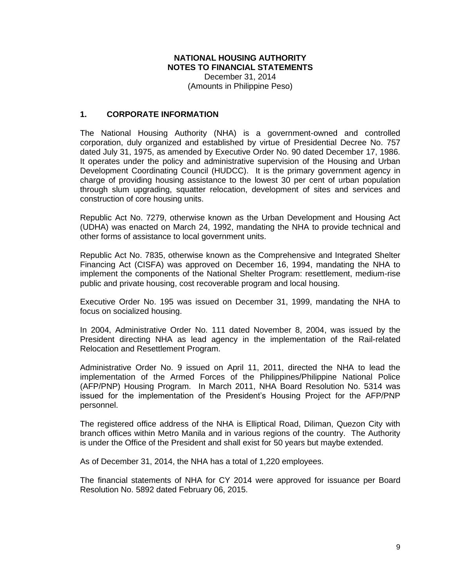#### **NATIONAL HOUSING AUTHORITY NOTES TO FINANCIAL STATEMENTS** December 31, 2014

(Amounts in Philippine Peso)

### **1. CORPORATE INFORMATION**

The National Housing Authority (NHA) is a government-owned and controlled corporation, duly organized and established by virtue of Presidential Decree No. 757 dated July 31, 1975, as amended by Executive Order No. 90 dated December 17, 1986. It operates under the policy and administrative supervision of the Housing and Urban Development Coordinating Council (HUDCC). It is the primary government agency in charge of providing housing assistance to the lowest 30 per cent of urban population through slum upgrading, squatter relocation, development of sites and services and construction of core housing units.

Republic Act No. 7279, otherwise known as the Urban Development and Housing Act (UDHA) was enacted on March 24, 1992, mandating the NHA to provide technical and other forms of assistance to local government units.

Republic Act No. 7835, otherwise known as the Comprehensive and Integrated Shelter Financing Act (CISFA) was approved on December 16, 1994, mandating the NHA to implement the components of the National Shelter Program: resettlement, medium-rise public and private housing, cost recoverable program and local housing.

Executive Order No. 195 was issued on December 31, 1999, mandating the NHA to focus on socialized housing.

In 2004, Administrative Order No. 111 dated November 8, 2004, was issued by the President directing NHA as lead agency in the implementation of the Rail-related Relocation and Resettlement Program.

Administrative Order No. 9 issued on April 11, 2011, directed the NHA to lead the implementation of the Armed Forces of the Philippines/Philippine National Police (AFP/PNP) Housing Program. In March 2011, NHA Board Resolution No. 5314 was issued for the implementation of the President's Housing Project for the AFP/PNP personnel.

The registered office address of the NHA is Elliptical Road, Diliman, Quezon City with branch offices within Metro Manila and in various regions of the country. The Authority is under the Office of the President and shall exist for 50 years but maybe extended.

As of December 31, 2014, the NHA has a total of 1,220 employees.

The financial statements of NHA for CY 2014 were approved for issuance per Board Resolution No. 5892 dated February 06, 2015.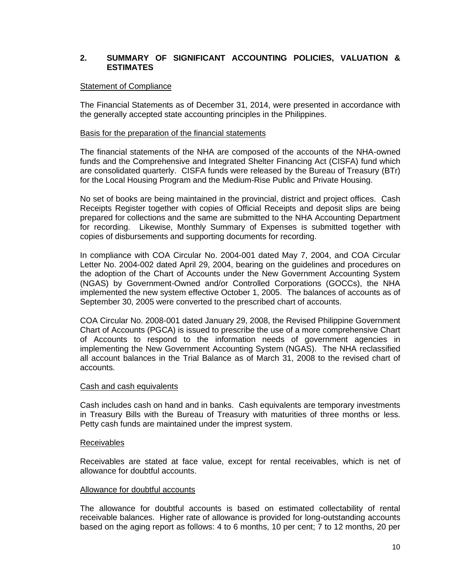## **2. SUMMARY OF SIGNIFICANT ACCOUNTING POLICIES, VALUATION & ESTIMATES**

#### Statement of Compliance

The Financial Statements as of December 31, 2014, were presented in accordance with the generally accepted state accounting principles in the Philippines.

#### Basis for the preparation of the financial statements

The financial statements of the NHA are composed of the accounts of the NHA-owned funds and the Comprehensive and Integrated Shelter Financing Act (CISFA) fund which are consolidated quarterly. CISFA funds were released by the Bureau of Treasury (BTr) for the Local Housing Program and the Medium-Rise Public and Private Housing.

No set of books are being maintained in the provincial, district and project offices. Cash Receipts Register together with copies of Official Receipts and deposit slips are being prepared for collections and the same are submitted to the NHA Accounting Department for recording. Likewise, Monthly Summary of Expenses is submitted together with copies of disbursements and supporting documents for recording.

In compliance with COA Circular No. 2004-001 dated May 7, 2004, and COA Circular Letter No. 2004-002 dated April 29, 2004, bearing on the guidelines and procedures on the adoption of the Chart of Accounts under the New Government Accounting System (NGAS) by Government-Owned and/or Controlled Corporations (GOCCs), the NHA implemented the new system effective October 1, 2005. The balances of accounts as of September 30, 2005 were converted to the prescribed chart of accounts.

COA Circular No. 2008-001 dated January 29, 2008, the Revised Philippine Government Chart of Accounts (PGCA) is issued to prescribe the use of a more comprehensive Chart of Accounts to respond to the information needs of government agencies in implementing the New Government Accounting System (NGAS). The NHA reclassified all account balances in the Trial Balance as of March 31, 2008 to the revised chart of accounts.

#### Cash and cash equivalents

Cash includes cash on hand and in banks. Cash equivalents are temporary investments in Treasury Bills with the Bureau of Treasury with maturities of three months or less. Petty cash funds are maintained under the imprest system.

#### Receivables

Receivables are stated at face value, except for rental receivables, which is net of allowance for doubtful accounts.

#### Allowance for doubtful accounts

The allowance for doubtful accounts is based on estimated collectability of rental receivable balances. Higher rate of allowance is provided for long-outstanding accounts based on the aging report as follows: 4 to 6 months, 10 per cent; 7 to 12 months, 20 per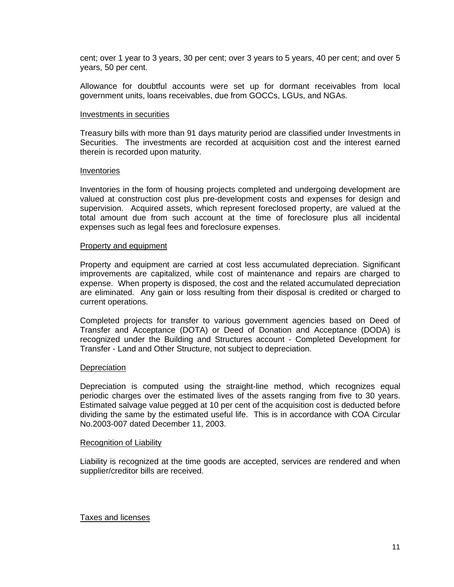cent; over 1 year to 3 years, 30 per cent; over 3 years to 5 years, 40 per cent; and over 5 years, 50 per cent.

Allowance for doubtful accounts were set up for dormant receivables from local government units, loans receivables, due from GOCCs, LGUs, and NGAs.

#### Investments in securities

Treasury bills with more than 91 days maturity period are classified under Investments in Securities. The investments are recorded at acquisition cost and the interest earned therein is recorded upon maturity.

#### Inventories

Inventories in the form of housing projects completed and undergoing development are valued at construction cost plus pre-development costs and expenses for design and supervision. Acquired assets, which represent foreclosed property, are valued at the total amount due from such account at the time of foreclosure plus all incidental expenses such as legal fees and foreclosure expenses.

#### Property and equipment

Property and equipment are carried at cost less accumulated depreciation. Significant improvements are capitalized, while cost of maintenance and repairs are charged to expense. When property is disposed, the cost and the related accumulated depreciation are eliminated. Any gain or loss resulting from their disposal is credited or charged to current operations.

Completed projects for transfer to various government agencies based on Deed of Transfer and Acceptance (DOTA) or Deed of Donation and Acceptance (DODA) is recognized under the Building and Structures account - Completed Development for Transfer - Land and Other Structure, not subject to depreciation.

#### **Depreciation**

Depreciation is computed using the straight-line method, which recognizes equal periodic charges over the estimated lives of the assets ranging from five to 30 years. Estimated salvage value pegged at 10 per cent of the acquisition cost is deducted before dividing the same by the estimated useful life. This is in accordance with COA Circular No.2003-007 dated December 11, 2003.

#### Recognition of Liability

Liability is recognized at the time goods are accepted, services are rendered and when supplier/creditor bills are received.

#### Taxes and licenses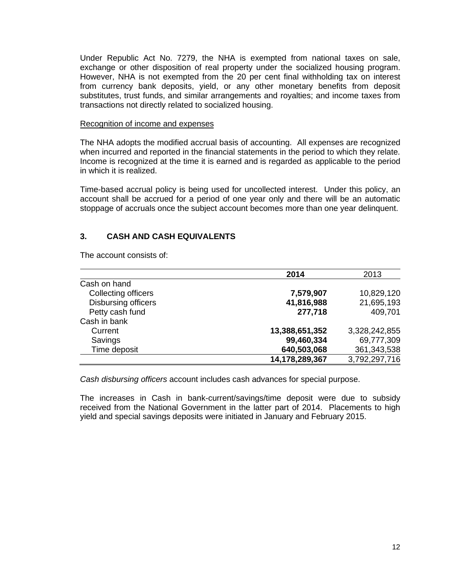Under Republic Act No. 7279, the NHA is exempted from national taxes on sale, exchange or other disposition of real property under the socialized housing program. However, NHA is not exempted from the 20 per cent final withholding tax on interest from currency bank deposits, yield, or any other monetary benefits from deposit substitutes, trust funds, and similar arrangements and royalties; and income taxes from transactions not directly related to socialized housing.

#### Recognition of income and expenses

The NHA adopts the modified accrual basis of accounting. All expenses are recognized when incurred and reported in the financial statements in the period to which they relate. Income is recognized at the time it is earned and is regarded as applicable to the period in which it is realized.

Time-based accrual policy is being used for uncollected interest. Under this policy, an account shall be accrued for a period of one year only and there will be an automatic stoppage of accruals once the subject account becomes more than one year delinquent.

## **3. CASH AND CASH EQUIVALENTS**

The account consists of:

|                     | 2014           | 2013          |
|---------------------|----------------|---------------|
| Cash on hand        |                |               |
| Collecting officers | 7,579,907      | 10,829,120    |
| Disbursing officers | 41,816,988     | 21,695,193    |
| Petty cash fund     | 277,718        | 409,701       |
| Cash in bank        |                |               |
| Current             | 13,388,651,352 | 3,328,242,855 |
| Savings             | 99,460,334     | 69,777,309    |
| Time deposit        | 640,503,068    | 361,343,538   |
|                     | 14,178,289,367 | 3,792,297,716 |

*Cash disbursing officers* account includes cash advances for special purpose.

The increases in Cash in bank-current/savings/time deposit were due to subsidy received from the National Government in the latter part of 2014. Placements to high yield and special savings deposits were initiated in January and February 2015.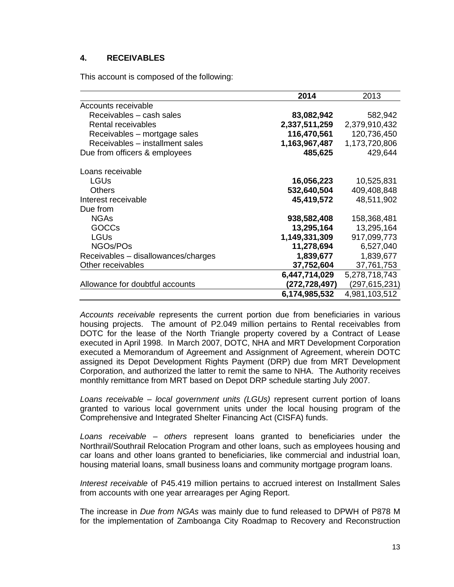## **4. RECEIVABLES**

This account is composed of the following:

| 2014          | 2013                                                    |
|---------------|---------------------------------------------------------|
|               |                                                         |
|               | 582,942                                                 |
| 2,337,511,259 | 2,379,910,432                                           |
|               | 120,736,450                                             |
|               | 1,173,720,806                                           |
| 485,625       | 429,644                                                 |
|               |                                                         |
| 16,056,223    | 10,525,831                                              |
| 532,640,504   | 409,408,848                                             |
| 45,419,572    | 48,511,902                                              |
|               |                                                         |
| 938,582,408   | 158,368,481                                             |
| 13,295,164    | 13,295,164                                              |
| 1,149,331,309 | 917,099,773                                             |
| 11,278,694    | 6,527,040                                               |
|               | 1,839,677                                               |
| 37,752,604    | 37,761,753                                              |
| 6,447,714,029 | 5,278,718,743                                           |
| (272,728,497) | (297, 615, 231)                                         |
| 6,174,985,532 | 4,981,103,512                                           |
|               | 83,082,942<br>116,470,561<br>1,163,967,487<br>1,839,677 |

*Accounts receivable* represents the current portion due from beneficiaries in various housing projects. The amount of P2.049 million pertains to Rental receivables from DOTC for the lease of the North Triangle property covered by a Contract of Lease executed in April 1998. In March 2007, DOTC, NHA and MRT Development Corporation executed a Memorandum of Agreement and Assignment of Agreement, wherein DOTC assigned its Depot Development Rights Payment (DRP) due from MRT Development Corporation, and authorized the latter to remit the same to NHA. The Authority receives monthly remittance from MRT based on Depot DRP schedule starting July 2007.

*Loans receivable – local government units (LGUs)* represent current portion of loans granted to various local government units under the local housing program of the Comprehensive and Integrated Shelter Financing Act (CISFA) funds.

*Loans receivable – others* represent loans granted to beneficiaries under the Northrail/Southrail Relocation Program and other loans, such as employees housing and car loans and other loans granted to beneficiaries, like commercial and industrial loan, housing material loans, small business loans and community mortgage program loans.

*Interest receivable* of P45.419 million pertains to accrued interest on Installment Sales from accounts with one year arrearages per Aging Report.

The increase in *Due from NGAs* was mainly due to fund released to DPWH of P878 M for the implementation of Zamboanga City Roadmap to Recovery and Reconstruction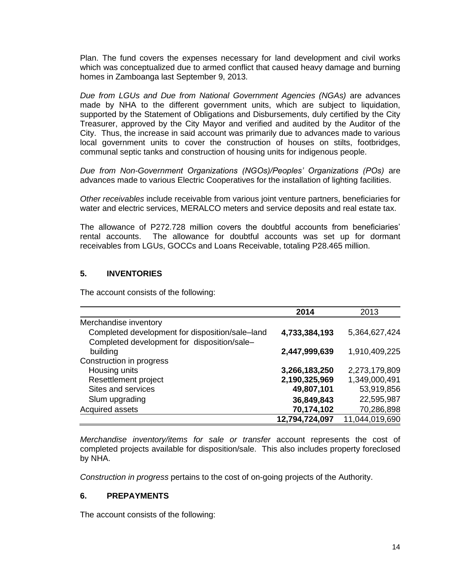Plan. The fund covers the expenses necessary for land development and civil works which was conceptualized due to armed conflict that caused heavy damage and burning homes in Zamboanga last September 9, 2013.

*Due from LGUs and Due from National Government Agencies (NGAs)* are advances made by NHA to the different government units, which are subject to liquidation, supported by the Statement of Obligations and Disbursements, duly certified by the City Treasurer, approved by the City Mayor and verified and audited by the Auditor of the City. Thus, the increase in said account was primarily due to advances made to various local government units to cover the construction of houses on stilts, footbridges, communal septic tanks and construction of housing units for indigenous people.

*Due from Non-Government Organizations (NGOs)/Peoples' Organizations (POs)* are advances made to various Electric Cooperatives for the installation of lighting facilities.

*Other receivables* include receivable from various joint venture partners, beneficiaries for water and electric services, MERALCO meters and service deposits and real estate tax.

The allowance of P272.728 million covers the doubtful accounts from beneficiaries' rental accounts. The allowance for doubtful accounts was set up for dormant receivables from LGUs, GOCCs and Loans Receivable, totaling P28.465 million.

## **5. INVENTORIES**

The account consists of the following:

|                                                                                                | 2014           | 2013           |
|------------------------------------------------------------------------------------------------|----------------|----------------|
| Merchandise inventory                                                                          |                |                |
| Completed development for disposition/sale-land<br>Completed development for disposition/sale- | 4,733,384,193  | 5,364,627,424  |
| building                                                                                       | 2,447,999,639  | 1,910,409,225  |
| Construction in progress                                                                       |                |                |
| Housing units                                                                                  | 3,266,183,250  | 2,273,179,809  |
| Resettlement project                                                                           | 2,190,325,969  | 1,349,000,491  |
| Sites and services                                                                             | 49,807,101     | 53,919,856     |
| Slum upgrading                                                                                 | 36,849,843     | 22,595,987     |
| Acquired assets                                                                                | 70,174,102     | 70,286,898     |
|                                                                                                | 12,794,724,097 | 11,044,019,690 |

*Merchandise inventory/items for sale or transfer* account represents the cost of completed projects available for disposition/sale. This also includes property foreclosed by NHA.

*Construction in progress* pertains to the cost of on-going projects of the Authority.

### **6. PREPAYMENTS**

The account consists of the following: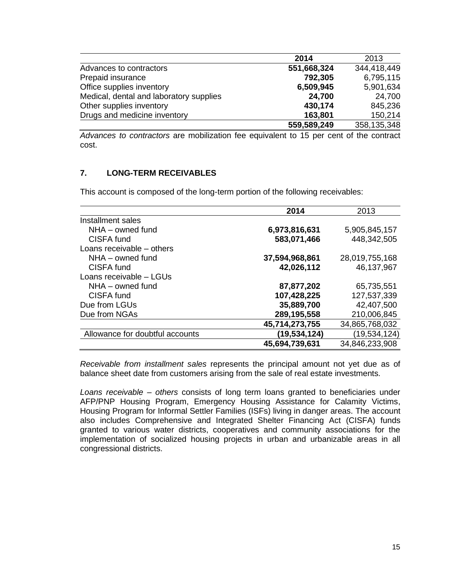|                                         | 2014        | 2013        |
|-----------------------------------------|-------------|-------------|
| Advances to contractors                 | 551,668,324 | 344,418,449 |
| Prepaid insurance                       | 792,305     | 6,795,115   |
| Office supplies inventory               | 6,509,945   | 5,901,634   |
| Medical, dental and laboratory supplies | 24,700      | 24,700      |
| Other supplies inventory                | 430,174     | 845,236     |
| Drugs and medicine inventory            | 163,801     | 150,214     |
|                                         | 559,589,249 | 358,135,348 |

*Advances to contractors* are mobilization fee equivalent to 15 per cent of the contract cost.

## **7. LONG-TERM RECEIVABLES**

This account is composed of the long-term portion of the following receivables:

|                                 | 2014           | 2013           |
|---------------------------------|----------------|----------------|
| Installment sales               |                |                |
| NHA - owned fund                | 6,973,816,631  | 5,905,845,157  |
| CISFA fund                      | 583,071,466    | 448,342,505    |
| Loans receivable – others       |                |                |
| $NHA - owned$ fund              | 37,594,968,861 | 28,019,755,168 |
| CISFA fund                      | 42,026,112     | 46,137,967     |
| Loans receivable - LGUs         |                |                |
| NHA - owned fund                | 87,877,202     | 65,735,551     |
| CISFA fund                      | 107,428,225    | 127,537,339    |
| Due from LGUs                   | 35,889,700     | 42,407,500     |
| Due from NGAs                   | 289,195,558    | 210,006,845    |
|                                 | 45,714,273,755 | 34,865,768,032 |
| Allowance for doubtful accounts | (19,534,124)   | (19,534,124)   |
|                                 | 45,694,739,631 | 34,846,233,908 |

*Receivable from installment sales* represents the principal amount not yet due as of balance sheet date from customers arising from the sale of real estate investments.

*Loans receivable – others* consists of long term loans granted to beneficiaries under AFP/PNP Housing Program, Emergency Housing Assistance for Calamity Victims, Housing Program for Informal Settler Families (ISFs) living in danger areas. The account also includes Comprehensive and Integrated Shelter Financing Act (CISFA) funds granted to various water districts, cooperatives and community associations for the implementation of socialized housing projects in urban and urbanizable areas in all congressional districts.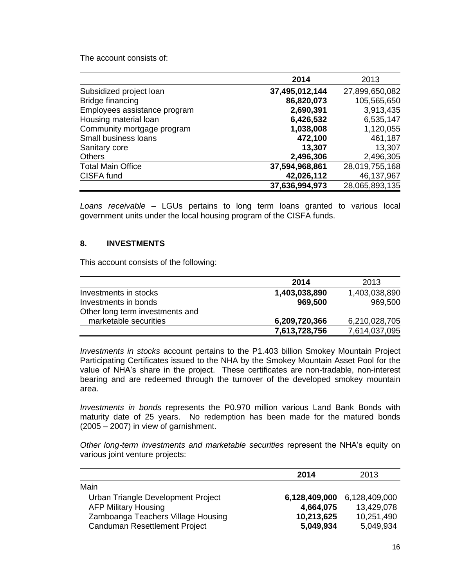The account consists of:

|                              | 2014           | 2013           |
|------------------------------|----------------|----------------|
| Subsidized project loan      | 37,495,012,144 | 27,899,650,082 |
| Bridge financing             | 86,820,073     | 105,565,650    |
| Employees assistance program | 2,690,391      | 3,913,435      |
| Housing material loan        | 6,426,532      | 6,535,147      |
| Community mortgage program   | 1,038,008      | 1,120,055      |
| Small business loans         | 472,100        | 461,187        |
| Sanitary core                | 13,307         | 13,307         |
| <b>Others</b>                | 2,496,306      | 2,496,305      |
| <b>Total Main Office</b>     | 37,594,968,861 | 28,019,755,168 |
| CISFA fund                   | 42,026,112     | 46,137,967     |
|                              | 37,636,994,973 | 28,065,893,135 |

*Loans receivable –* LGUs pertains to long term loans granted to various local government units under the local housing program of the CISFA funds.

#### **8. INVESTMENTS**

This account consists of the following:

|                                 | 2014          | 2013          |
|---------------------------------|---------------|---------------|
| Investments in stocks           | 1,403,038,890 | 1,403,038,890 |
| Investments in bonds            | 969,500       | 969,500       |
| Other long term investments and |               |               |
| marketable securities           | 6,209,720,366 | 6,210,028,705 |
|                                 | 7,613,728,756 | 7,614,037,095 |

*Investments in stocks* account pertains to the P1.403 billion Smokey Mountain Project Participating Certificates issued to the NHA by the Smokey Mountain Asset Pool for the value of NHA's share in the project. These certificates are non-tradable, non-interest bearing and are redeemed through the turnover of the developed smokey mountain area.

*Investments in bonds* represents the P0.970 million various Land Bank Bonds with maturity date of 25 years. No redemption has been made for the matured bonds (2005 – 2007) in view of garnishment.

*Other long-term investments and marketable securities* represent the NHA's equity on various joint venture projects:

|                                    | 2014          | 2013          |
|------------------------------------|---------------|---------------|
| Main                               |               |               |
| Urban Triangle Development Project | 6,128,409,000 | 6,128,409,000 |
| <b>AFP Military Housing</b>        | 4,664,075     | 13,429,078    |
| Zamboanga Teachers Village Housing | 10,213,625    | 10,251,490    |
| Canduman Resettlement Project      | 5,049,934     | 5,049,934     |
|                                    |               |               |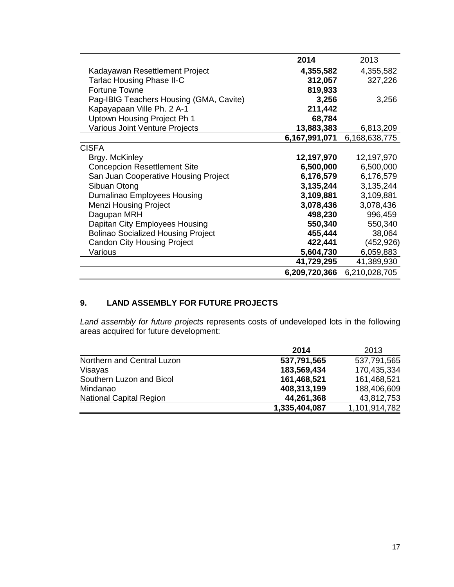|                                           | 2014          | 2013          |
|-------------------------------------------|---------------|---------------|
| Kadayawan Resettlement Project            | 4,355,582     | 4,355,582     |
| <b>Tarlac Housing Phase II-C</b>          | 312,057       | 327,226       |
| <b>Fortune Towne</b>                      | 819,933       |               |
| Pag-IBIG Teachers Housing (GMA, Cavite)   | 3,256         | 3,256         |
| Kapayapaan Ville Ph. 2 A-1                | 211,442       |               |
| Uptown Housing Project Ph 1               | 68,784        |               |
| Various Joint Venture Projects            | 13,883,383    | 6,813,209     |
|                                           | 6,167,991,071 | 6,168,638,775 |
| <b>CISFA</b>                              |               |               |
| Brgy. McKinley                            | 12,197,970    | 12,197,970    |
| <b>Concepcion Resettlement Site</b>       | 6,500,000     | 6,500,000     |
| San Juan Cooperative Housing Project      | 6,176,579     | 6,176,579     |
| Sibuan Otong                              | 3,135,244     | 3,135,244     |
| Dumalinao Employees Housing               | 3,109,881     | 3,109,881     |
| <b>Menzi Housing Project</b>              | 3,078,436     | 3,078,436     |
| Dagupan MRH                               | 498,230       | 996,459       |
| Dapitan City Employees Housing            | 550,340       | 550,340       |
| <b>Bolinao Socialized Housing Project</b> | 455,444       | 38,064        |
| <b>Candon City Housing Project</b>        | 422,441       | (452, 926)    |
| Various                                   | 5,604,730     | 6,059,883     |
|                                           | 41,729,295    | 41,389,930    |
|                                           | 6,209,720,366 | 6,210,028,705 |

# **9. LAND ASSEMBLY FOR FUTURE PROJECTS**

*Land assembly for future projects* represents costs of undeveloped lots in the following areas acquired for future development:

|                                | 2014          | 2013          |
|--------------------------------|---------------|---------------|
| Northern and Central Luzon     | 537,791,565   | 537,791,565   |
| Visayas                        | 183,569,434   | 170,435,334   |
| Southern Luzon and Bicol       | 161,468,521   | 161,468,521   |
| Mindanao                       | 408,313,199   | 188,406,609   |
| <b>National Capital Region</b> | 44,261,368    | 43,812,753    |
|                                | 1,335,404,087 | 1,101,914,782 |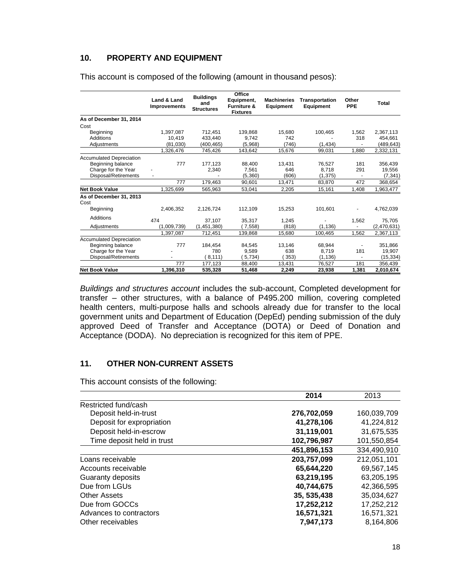## **10. PROPERTY AND EQUIPMENT**

|                                 | Land & Land<br><b>Improvements</b> | <b>Buildings</b><br>and<br><b>Structures</b> | Office<br>Equipment,<br><b>Furniture &amp;</b><br><b>Fixtures</b> | <b>Machineries</b><br><b>Equipment</b> | <b>Transportation</b><br><b>Equipment</b> | Other<br><b>PPE</b> | Total       |
|---------------------------------|------------------------------------|----------------------------------------------|-------------------------------------------------------------------|----------------------------------------|-------------------------------------------|---------------------|-------------|
| As of December 31, 2014         |                                    |                                              |                                                                   |                                        |                                           |                     |             |
| Cost                            |                                    |                                              |                                                                   |                                        |                                           |                     |             |
| Beginning                       | 1.397.087                          | 712.451                                      | 139.868                                                           | 15,680                                 | 100,465                                   | 1,562               | 2,367,113   |
| Additions                       | 10,419                             | 433.440                                      | 9.742                                                             | 742                                    |                                           | 318                 | 454.661     |
| Adjustments                     | (81,030)                           | (400, 465)                                   | (5,968)                                                           | (746)                                  | (1, 434)                                  |                     | (489, 643)  |
|                                 | 1,326,476                          | 745,426                                      | 143,642                                                           | 15,676                                 | 99,031                                    | 1.880               | 2,332,131   |
| <b>Accumulated Depreciation</b> |                                    |                                              |                                                                   |                                        |                                           |                     |             |
| Beginning balance               | 777                                | 177,123                                      | 88.400                                                            | 13.431                                 | 76,527                                    | 181                 | 356,439     |
| Charge for the Year             |                                    | 2,340                                        | 7.561                                                             | 646                                    | 8.718                                     | 291                 | 19,556      |
| Disposal/Retirements            | ٠                                  |                                              | (5,360)                                                           | (606)                                  | (1, 375)                                  | $\blacksquare$      | (7, 341)    |
|                                 | 777                                | 179,463                                      | 90,601                                                            | 13.471                                 | 83,870                                    | 472                 | 368,654     |
| <b>Net Book Value</b>           | 1,325,699                          | 565,963                                      | 53,041                                                            | 2,205                                  | 15,161                                    | 1,408               | 1,963,477   |
| As of December 31, 2013<br>Cost |                                    |                                              |                                                                   |                                        |                                           |                     |             |
| Beginning                       | 2,406,352                          | 2,126,724                                    | 112,109                                                           | 15,253                                 | 101,601                                   |                     | 4,762,039   |
| Additions                       | 474                                | 37,107                                       | 35,317                                                            |                                        |                                           |                     | 75,705      |
| Adjustments                     | (1,009,739)                        | (1, 451, 380)                                | 7,558                                                             | 1,245<br>(818)                         | (1, 136)                                  | 1,562               | (2,470,631) |
|                                 | 1,397,087                          | 712,451                                      | 139,868                                                           | 15,680                                 | 100,465                                   | 1,562               | 2,367,113   |
| <b>Accumulated Depreciation</b> |                                    |                                              |                                                                   |                                        |                                           |                     |             |
| Beginning balance               | 777                                | 184,454                                      | 84,545                                                            | 13,146                                 | 68,944                                    |                     | 351,866     |
| Charge for the Year             |                                    | 780                                          | 9,589                                                             | 638                                    | 8.719                                     | 181                 | 19,907      |
| Disposal/Retirements            |                                    | 8,111)                                       | 5,734)                                                            | 353)                                   | (1.136)                                   |                     | (15, 334)   |
|                                 | 777                                | 177,123                                      | 88,400                                                            | 13,431                                 | 76,527                                    | 181                 | 356,439     |
| <b>Net Book Value</b>           | 1,396,310                          | 535,328                                      | 51,468                                                            | 2.249                                  | 23.938                                    | 1,381               | 2,010,674   |

This account is composed of the following (amount in thousand pesos):

*Buildings and structures account* includes the sub-account, Completed development for transfer – other structures, with a balance of P495.200 million, covering completed health centers, multi-purpose halls and schools already due for transfer to the local government units and Department of Education (DepEd) pending submission of the duly approved Deed of Transfer and Acceptance (DOTA) or Deed of Donation and Acceptance (DODA). No depreciation is recognized for this item of PPE.

## **11. OTHER NON-CURRENT ASSETS**

This account consists of the following:

|                            | 2014         | 2013        |
|----------------------------|--------------|-------------|
| Restricted fund/cash       |              |             |
| Deposit held-in-trust      | 276,702,059  | 160,039,709 |
| Deposit for expropriation  | 41,278,106   | 41,224,812  |
| Deposit held-in-escrow     | 31,119,001   | 31,675,535  |
| Time deposit held in trust | 102.796.987  | 101.550.854 |
|                            | 451,896,153  | 334,490,910 |
| Loans receivable           | 203,757,099  | 212,051,101 |
| Accounts receivable        | 65,644,220   | 69,567,145  |
| Guaranty deposits          | 63,219,195   | 63.205.195  |
| Due from LGUs              | 40.744.675   | 42,366,595  |
| <b>Other Assets</b>        | 35, 535, 438 | 35.034.627  |
| Due from GOCCs             | 17,252,212   | 17,252,212  |
| Advances to contractors    | 16,571,321   | 16,571,321  |
| Other receivables          | 7,947,173    | 8.164.806   |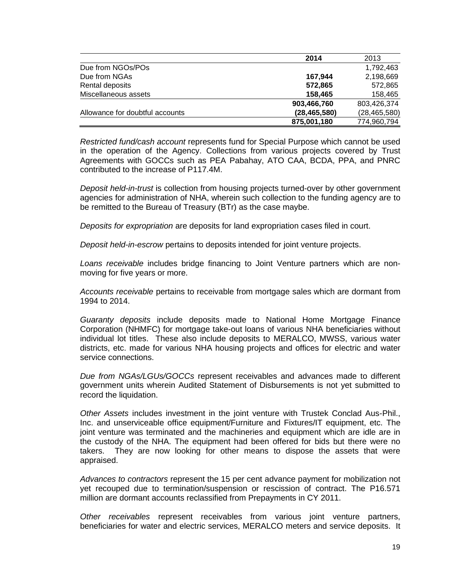|                                 | 2014           | 2013           |
|---------------------------------|----------------|----------------|
| Due from NGOs/POs               |                | 1,792,463      |
| Due from NGAs                   | 167.944        | 2,198,669      |
| Rental deposits                 | 572,865        | 572,865        |
| Miscellaneous assets            | 158,465        | 158,465        |
|                                 | 903,466,760    | 803,426,374    |
| Allowance for doubtful accounts | (28, 465, 580) | (28, 465, 580) |
|                                 | 875,001,180    | 774,960,794    |

*Restricted fund/cash account* represents fund for Special Purpose which cannot be used in the operation of the Agency. Collections from various projects covered by Trust Agreements with GOCCs such as PEA Pabahay, ATO CAA, BCDA, PPA, and PNRC contributed to the increase of P117.4M.

*Deposit held-in-trust* is collection from housing projects turned-over by other government agencies for administration of NHA, wherein such collection to the funding agency are to be remitted to the Bureau of Treasury (BTr) as the case maybe.

*Deposits for expropriation* are deposits for land expropriation cases filed in court.

*Deposit held-in-escrow* pertains to deposits intended for joint venture projects.

*Loans receivable* includes bridge financing to Joint Venture partners which are nonmoving for five years or more.

*Accounts receivable* pertains to receivable from mortgage sales which are dormant from 1994 to 2014.

*Guaranty deposits* include deposits made to National Home Mortgage Finance Corporation (NHMFC) for mortgage take-out loans of various NHA beneficiaries without individual lot titles. These also include deposits to MERALCO, MWSS, various water districts, etc. made for various NHA housing projects and offices for electric and water service connections.

*Due from NGAs/LGUs/GOCCs* represent receivables and advances made to different government units wherein Audited Statement of Disbursements is not yet submitted to record the liquidation.

*Other Assets* includes investment in the joint venture with Trustek Conclad Aus-Phil., Inc. and unserviceable office equipment/Furniture and Fixtures/IT equipment, etc. The joint venture was terminated and the machineries and equipment which are idle are in the custody of the NHA. The equipment had been offered for bids but there were no takers. They are now looking for other means to dispose the assets that were appraised.

*Advances to contractors* represent the 15 per cent advance payment for mobilization not yet recouped due to termination/suspension or rescission of contract. The P16.571 million are dormant accounts reclassified from Prepayments in CY 2011.

*Other receivables* represent receivables from various joint venture partners, beneficiaries for water and electric services, MERALCO meters and service deposits. It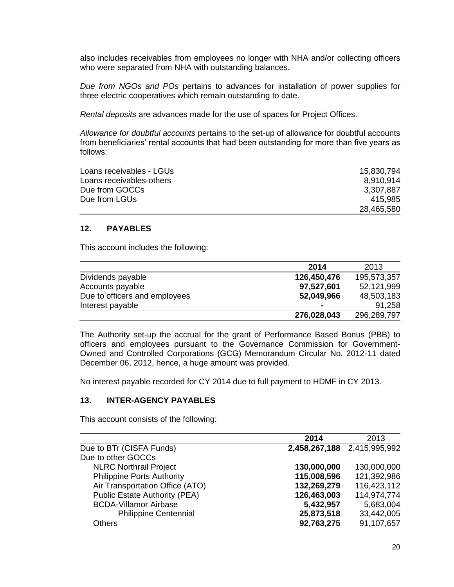also includes receivables from employees no longer with NHA and/or collecting officers who were separated from NHA with outstanding balances.

*Due from NGOs and POs* pertains to advances for installation of power supplies for three electric cooperatives which remain outstanding to date.

*Rental deposits* are advances made for the use of spaces for Project Offices.

*Allowance for doubtful accounts* pertains to the set-up of allowance for doubtful accounts from beneficiaries' rental accounts that had been outstanding for more than five years as follows:

| Loans receivables - LGUs | 15,830,794 |
|--------------------------|------------|
| Loans receivables-others | 8.910.914  |
| Due from GOCCs           | 3,307,887  |
| Due from LGUs            | 415.985    |
|                          | 28,465,580 |

### **12. PAYABLES**

This account includes the following:

|                               | 2014           | 2013        |
|-------------------------------|----------------|-------------|
| Dividends payable             | 126,450,476    | 195,573,357 |
| Accounts payable              | 97,527,601     | 52,121,999  |
| Due to officers and employees | 52,049,966     | 48,503,183  |
| Interest payable              | $\blacksquare$ | 91.258      |
|                               | 276,028,043    | 296,289,797 |

The Authority set-up the accrual for the grant of Performance Based Bonus (PBB) to officers and employees pursuant to the Governance Commission for Government-Owned and Controlled Corporations (GCG) Memorandum Circular No. 2012-11 dated December 06, 2012, hence, a huge amount was provided.

No interest payable recorded for CY 2014 due to full payment to HDMF in CY 2013.

### **13. INTER-AGENCY PAYABLES**

This account consists of the following:

|                                      | 2014        | 2013                        |
|--------------------------------------|-------------|-----------------------------|
| Due to BTr (CISFA Funds)             |             | 2,458,267,188 2,415,995,992 |
| Due to other GOCCs                   |             |                             |
| <b>NLRC Northrail Project</b>        | 130,000,000 | 130,000,000                 |
| <b>Philippine Ports Authority</b>    | 115,008,596 | 121,392,986                 |
| Air Transportation Office (ATO)      | 132,269,279 | 116,423,112                 |
| <b>Public Estate Authority (PEA)</b> | 126,463,003 | 114,974,774                 |
| <b>BCDA-Villamor Airbase</b>         | 5,432,957   | 5,683,004                   |
| <b>Philippine Centennial</b>         | 25,873,518  | 33,442,005                  |
| Others                               | 92,763,275  | 91,107,657                  |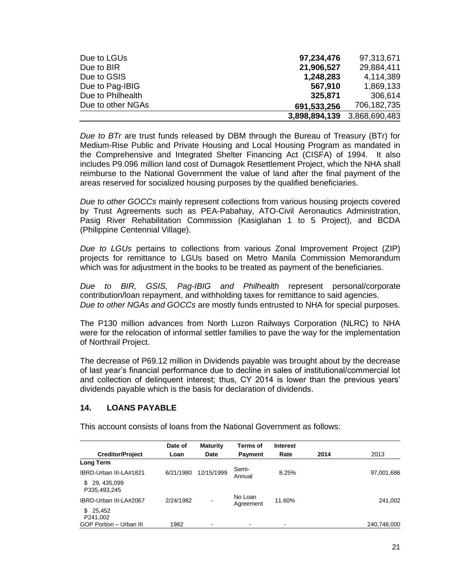| Due to LGUs       | 97,234,476    | 97,313,671    |
|-------------------|---------------|---------------|
| Due to BIR        | 21,906,527    | 29,884,411    |
| Due to GSIS       | 1,248,283     | 4,114,389     |
| Due to Pag-IBIG   | 567,910       | 1,869,133     |
| Due to Philhealth | 325,871       | 306,614       |
| Due to other NGAs | 691,533,256   | 706,182,735   |
|                   | 3,898,894,139 | 3,868,690,483 |

*Due to BTr* are trust funds released by DBM through the Bureau of Treasury (BTr) for Medium-Rise Public and Private Housing and Local Housing Program as mandated in the Comprehensive and Integrated Shelter Financing Act (CISFA) of 1994. It also includes P9.096 million land cost of Dumagok Resettlement Project, which the NHA shall reimburse to the National Government the value of land after the final payment of the areas reserved for socialized housing purposes by the qualified beneficiaries.

*Due to other GOCCs* mainly represent collections from various housing projects covered by Trust Agreements such as PEA-Pabahay, ATO-Civil Aeronautics Administration, Pasig River Rehabilitation Commission (Kasiglahan 1 to 5 Project), and BCDA (Philippine Centennial Village).

*Due to LGUs* pertains to collections from various Zonal Improvement Project (ZIP) projects for remittance to LGUs based on Metro Manila Commission Memorandum which was for adjustment in the books to be treated as payment of the beneficiaries.

*Due to BIR, GSIS, Pag-IBIG and Philhealth* represent personal/corporate contribution/loan repayment, and withholding taxes for remittance to said agencies. *Due to other NGAs and GOCCs* are mostly funds entrusted to NHA for special purposes.

The P130 million advances from North Luzon Railways Corporation (NLRC) to NHA were for the relocation of informal settler families to pave the way for the implementation of Northrail Project.

The decrease of P69.12 million in Dividends payable was brought about by the decrease of last year's financial performance due to decline in sales of institutional/commercial lot and collection of delinquent interest; thus, CY 2014 is lower than the previous years' dividends payable which is the basis for declaration of dividends.

## **14. LOANS PAYABLE**

This account consists of loans from the National Government as follows:

|                                   | Date of   | <b>Maturity</b> | Terms of             | <b>Interest</b> |      |             |
|-----------------------------------|-----------|-----------------|----------------------|-----------------|------|-------------|
| <b>Creditor/Project</b>           | Loan      | Date            | <b>Payment</b>       | Rate            | 2014 | 2013        |
| <b>Long Term</b>                  |           |                 |                      |                 |      |             |
| IBRD-Urban III-LA#1821            | 6/21/1980 | 12/15/1999      | Semi-<br>Annual      | 8.25%           |      | 97,001,686  |
| 29, 435, 099<br>S<br>P335,493,245 |           |                 |                      |                 |      |             |
| IBRD-Urban III-LA#2067            | 2/24/1982 |                 | No Loan<br>Agreement | 11.60%          |      | 241,002     |
| 25.452<br>\$<br>P241,002          |           |                 |                      |                 |      |             |
| GOP Portion - Urban III           | 1982      |                 |                      |                 |      | 240,748,000 |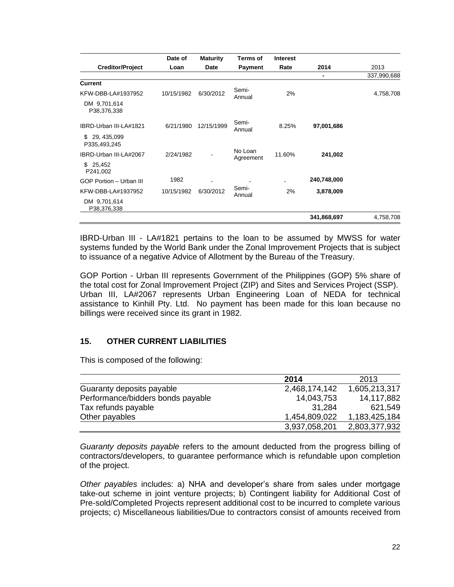|                                     | Date of    | <b>Maturity</b> | <b>Terms of</b>      | <b>Interest</b> |             |             |
|-------------------------------------|------------|-----------------|----------------------|-----------------|-------------|-------------|
| <b>Creditor/Project</b>             | Loan       | <b>Date</b>     | <b>Payment</b>       | Rate            | 2014        | 2013        |
|                                     |            |                 |                      |                 | ٠           | 337,990,688 |
| <b>Current</b>                      |            |                 |                      |                 |             |             |
| KFW-DBB-LA#1937952                  | 10/15/1982 | 6/30/2012       | Semi-<br>Annual      | 2%              |             | 4,758,708   |
| DM 9,701,614<br>P38,376,338         |            |                 |                      |                 |             |             |
| IBRD-Urban III-LA#1821              | 6/21/1980  | 12/15/1999      | Semi-<br>Annual      | 8.25%           | 97,001,686  |             |
| 29, 435, 099<br>\$.<br>P335,493,245 |            |                 |                      |                 |             |             |
| IBRD-Urban III-LA#2067              | 2/24/1982  |                 | No Loan<br>Agreement | 11.60%          | 241,002     |             |
| \$25,452<br>P241,002                |            |                 |                      |                 |             |             |
| GOP Portion - Urban III             | 1982       |                 |                      |                 | 240,748,000 |             |
| KFW-DBB-LA#1937952                  | 10/15/1982 | 6/30/2012       | Semi-<br>Annual      | 2%              | 3,878,009   |             |
| DM 9,701,614<br>P38,376,338         |            |                 |                      |                 |             |             |
|                                     |            |                 |                      |                 | 341,868,697 | 4,758,708   |

IBRD-Urban III - LA#1821 pertains to the loan to be assumed by MWSS for water systems funded by the World Bank under the Zonal Improvement Projects that is subject to issuance of a negative Advice of Allotment by the Bureau of the Treasury.

GOP Portion - Urban III represents Government of the Philippines (GOP) 5% share of the total cost for Zonal Improvement Project (ZIP) and Sites and Services Project (SSP). Urban III, LA#2067 represents Urban Engineering Loan of NEDA for technical assistance to Kinhill Pty. Ltd. No payment has been made for this loan because no billings were received since its grant in 1982.

## **15. OTHER CURRENT LIABILITIES**

This is composed of the following:

|                                   | 2014          | 2013          |
|-----------------------------------|---------------|---------------|
| Guaranty deposits payable         | 2,468,174,142 | 1,605,213,317 |
| Performance/bidders bonds payable | 14,043,753    | 14,117,882    |
| Tax refunds payable               | 31.284        | 621,549       |
| Other payables                    | 1,454,809,022 | 1,183,425,184 |
|                                   | 3,937,058,201 | 2,803,377,932 |

*Guaranty deposits payable* refers to the amount deducted from the progress billing of contractors/developers, to guarantee performance which is refundable upon completion of the project.

*Other payables* includes: a) NHA and developer's share from sales under mortgage take-out scheme in joint venture projects; b) Contingent liability for Additional Cost of Pre-sold/Completed Projects represent additional cost to be incurred to complete various projects; c) Miscellaneous liabilities/Due to contractors consist of amounts received from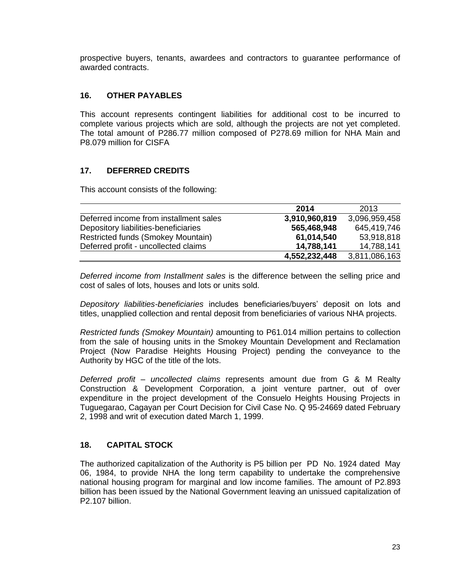prospective buyers, tenants, awardees and contractors to guarantee performance of awarded contracts.

## **16. OTHER PAYABLES**

This account represents contingent liabilities for additional cost to be incurred to complete various projects which are sold, although the projects are not yet completed. The total amount of P286.77 million composed of P278.69 million for NHA Main and P8.079 million for CISFA

## **17. DEFERRED CREDITS**

This account consists of the following:

|                                        | 2014          | 2013          |
|----------------------------------------|---------------|---------------|
| Deferred income from installment sales | 3,910,960,819 | 3,096,959,458 |
| Depository liabilities-beneficiaries   | 565,468,948   | 645,419,746   |
| Restricted funds (Smokey Mountain)     | 61,014,540    | 53,918,818    |
| Deferred profit - uncollected claims   | 14,788,141    | 14,788,141    |
|                                        | 4,552,232,448 | 3,811,086,163 |

*Deferred income from Installment sales* is the difference between the selling price and cost of sales of lots, houses and lots or units sold.

*Depository liabilities-beneficiaries* includes beneficiaries/buyers' deposit on lots and titles, unapplied collection and rental deposit from beneficiaries of various NHA projects.

*Restricted funds (Smokey Mountain)* amounting to P61.014 million pertains to collection from the sale of housing units in the Smokey Mountain Development and Reclamation Project (Now Paradise Heights Housing Project) pending the conveyance to the Authority by HGC of the title of the lots.

*Deferred profit – uncollected claims* represents amount due from G & M Realty Construction & Development Corporation, a joint venture partner, out of over expenditure in the project development of the Consuelo Heights Housing Projects in Tuguegarao, Cagayan per Court Decision for Civil Case No. Q 95-24669 dated February 2, 1998 and writ of execution dated March 1, 1999.

## **18. CAPITAL STOCK**

The authorized capitalization of the Authority is P5 billion per PD No. 1924 dated May 06, 1984, to provide NHA the long term capability to undertake the comprehensive national housing program for marginal and low income families. The amount of P2.893 billion has been issued by the National Government leaving an unissued capitalization of P2.107 billion.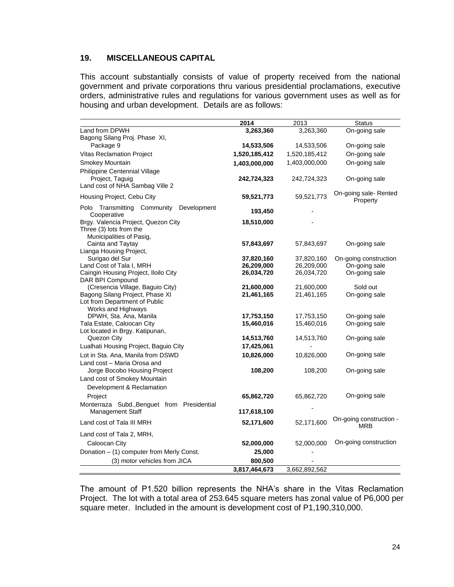## **19. MISCELLANEOUS CAPITAL**

This account substantially consists of value of property received from the national government and private corporations thru various presidential proclamations, executive orders, administrative rules and regulations for various government uses as well as for housing and urban development. Details are as follows:

|                                                           | 2014          | 2013          | <b>Status</b>                     |
|-----------------------------------------------------------|---------------|---------------|-----------------------------------|
| Land from DPWH                                            | 3,263,360     | 3,263,360     | On-going sale                     |
| Bagong Silang Proj. Phase XI,                             |               |               |                                   |
| Package 9                                                 | 14,533,506    | 14,533,506    | On-going sale                     |
| <b>Vitas Reclamation Project</b>                          | 1,520,185,412 | 1,520,185,412 | On-going sale                     |
| Smokey Mountain                                           | 1,403,000,000 | 1,403,000,000 | On-going sale                     |
| Philippine Centennial Village                             |               |               |                                   |
| Project, Taguig                                           | 242,724,323   | 242,724,323   | On-going sale                     |
| Land cost of NHA Sambag Ville 2                           |               |               |                                   |
| Housing Project, Cebu City                                | 59,521,773    | 59,521,773    | On-going sale- Rented<br>Property |
| Polo Transmitting Community<br>Development<br>Cooperative | 193,450       |               |                                   |
| Brgy. Valencia Project, Quezon City                       | 18,510,000    |               |                                   |
| Three (3) lots from the                                   |               |               |                                   |
| Municipalities of Pasig,                                  |               |               |                                   |
| Cainta and Taytay                                         | 57,843,697    | 57,843,697    | On-going sale                     |
| Lianga Housing Project,                                   |               |               |                                   |
| Surigao del Sur                                           | 37,820,160    | 37,820,160    | On-going construction             |
| Land Cost of Tala I, MRH                                  | 26,209,000    | 26,209,000    | On-going sale                     |
| Caingin Housing Project, Iloilo City<br>DAR BPI Compound  | 26,034,720    | 26,034,720    | On-going sale                     |
| (Cresencia Village, Baguio City)                          | 21,600,000    | 21,600,000    | Sold out                          |
| Bagong Silang Project, Phase XI                           | 21,461,165    | 21,461,165    | On-going sale                     |
| Lot from Department of Public                             |               |               |                                   |
| Works and Highways                                        |               |               |                                   |
| DPWH, Sta. Ana, Manila                                    | 17,753,150    | 17,753,150    | On-going sale                     |
| Tala Estate, Caloocan City                                | 15,460,016    | 15,460,016    | On-going sale                     |
| Lot located in Brgy. Katipunan,                           |               |               |                                   |
| Quezon City                                               | 14,513,760    | 14,513,760    | On-going sale                     |
| Lualhati Housing Project, Baguio City                     | 17,425,061    |               |                                   |
| Lot in Sta. Ana, Manila from DSWD                         | 10,826,000    | 10,826,000    | On-going sale                     |
| Land cost - Maria Orosa and                               |               |               |                                   |
| Jorge Bocobo Housing Project                              | 108,200       | 108,200       | On-going sale                     |
| Land cost of Smokey Mountain                              |               |               |                                   |
| Development & Reclamation                                 |               |               |                                   |
| Project                                                   | 65,862,720    | 65,862,720    | On-going sale                     |
| Monterraza Subd., Benguet from Presidential               |               |               |                                   |
| Management Staff                                          | 117,618,100   |               |                                   |
| Land cost of Tala III MRH                                 | 52,171,600    | 52,171,600    | On-going construction -<br>MRB    |
| Land cost of Tala 2, MRH,                                 |               |               |                                   |
| Caloocan City                                             | 52,000,000    | 52,000,000    | On-going construction             |
| Donation - (1) computer from Merly Const.                 | 25,000        |               |                                   |
| (3) motor vehicles from JICA                              | 800,500       |               |                                   |
|                                                           | 3,817,464,673 | 3,662,892,562 |                                   |

The amount of P1.520 billion represents the NHA's share in the Vitas Reclamation Project. The lot with a total area of 253.645 square meters has zonal value of P6,000 per square meter. Included in the amount is development cost of P1,190,310,000.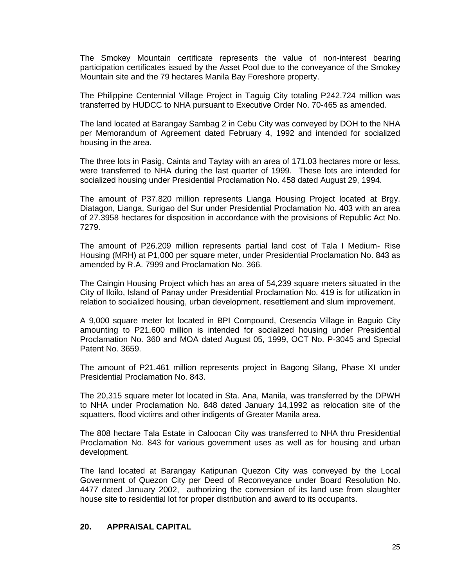The Smokey Mountain certificate represents the value of non-interest bearing participation certificates issued by the Asset Pool due to the conveyance of the Smokey Mountain site and the 79 hectares Manila Bay Foreshore property.

The Philippine Centennial Village Project in Taguig City totaling P242.724 million was transferred by HUDCC to NHA pursuant to Executive Order No. 70-465 as amended.

The land located at Barangay Sambag 2 in Cebu City was conveyed by DOH to the NHA per Memorandum of Agreement dated February 4, 1992 and intended for socialized housing in the area.

The three lots in Pasig, Cainta and Taytay with an area of 171.03 hectares more or less, were transferred to NHA during the last quarter of 1999. These lots are intended for socialized housing under Presidential Proclamation No. 458 dated August 29, 1994.

The amount of P37.820 million represents Lianga Housing Project located at Brgy. Diatagon, Lianga, Surigao del Sur under Presidential Proclamation No. 403 with an area of 27.3958 hectares for disposition in accordance with the provisions of Republic Act No. 7279.

The amount of P26.209 million represents partial land cost of Tala I Medium- Rise Housing (MRH) at P1,000 per square meter, under Presidential Proclamation No. 843 as amended by R.A. 7999 and Proclamation No. 366.

The Caingin Housing Project which has an area of 54,239 square meters situated in the City of Iloilo, Island of Panay under Presidential Proclamation No. 419 is for utilization in relation to socialized housing, urban development, resettlement and slum improvement.

A 9,000 square meter lot located in BPI Compound, Cresencia Village in Baguio City amounting to P21.600 million is intended for socialized housing under Presidential Proclamation No. 360 and MOA dated August 05, 1999, OCT No. P-3045 and Special Patent No. 3659.

The amount of P21.461 million represents project in Bagong Silang, Phase XI under Presidential Proclamation No. 843.

The 20,315 square meter lot located in Sta. Ana, Manila, was transferred by the DPWH to NHA under Proclamation No. 848 dated January 14,1992 as relocation site of the squatters, flood victims and other indigents of Greater Manila area.

The 808 hectare Tala Estate in Caloocan City was transferred to NHA thru Presidential Proclamation No. 843 for various government uses as well as for housing and urban development.

The land located at Barangay Katipunan Quezon City was conveyed by the Local Government of Quezon City per Deed of Reconveyance under Board Resolution No. 4477 dated January 2002, authorizing the conversion of its land use from slaughter house site to residential lot for proper distribution and award to its occupants.

### **20. APPRAISAL CAPITAL**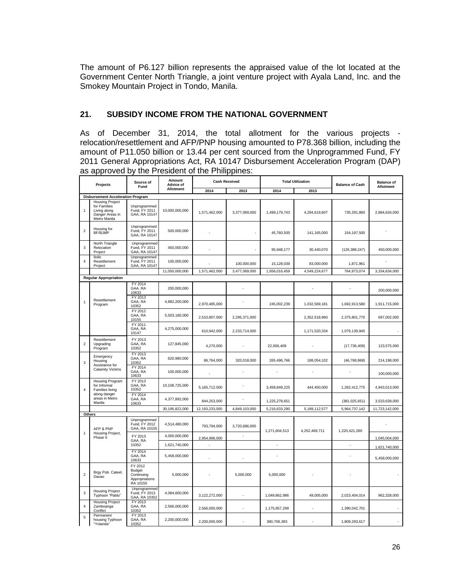The amount of P6.127 billion represents the appraised value of the lot located at the Government Center North Triangle, a joint venture project with Ayala Land, Inc. and the Smokey Mountain Project in Tondo, Manila.

## **21. SUBSIDY INCOME FROM THE NATIONAL GOVERNMENT**

As of December 31, 2014, the total allotment for the various projects relocation/resettlement and AFP/PNP housing amounted to P78.368 billion, including the amount of P11.050 billion or 13.44 per cent sourced from the Unprogrammed Fund, FY 2011 General Appropriations Act, RA 10147 Disbursement Acceleration Program (DAP) as approved by the President of the Philippines:

|                | Projects                                                                                  | Source of<br>Fund                                                    | Amount<br><b>Advice of</b> | <b>Cash Received</b>     |               | <b>Total Utilization</b> |                  | <b>Balance of Cash</b> | <b>Balance of</b><br>Allotment |
|----------------|-------------------------------------------------------------------------------------------|----------------------------------------------------------------------|----------------------------|--------------------------|---------------|--------------------------|------------------|------------------------|--------------------------------|
|                |                                                                                           |                                                                      | Allotment                  | 2014                     | 2013          | 2014                     | 2013             |                        |                                |
|                | <b>Disbursement Acceleration Program</b>                                                  |                                                                      |                            |                          |               |                          |                  |                        |                                |
| $\mathbf{1}$   | <b>Housing Project</b><br>for Families<br>Living along<br>Danger Areas in<br>Metro Manila | Unprogrammed<br>Fund, FY 2011<br>GAA, RA 10147                       | 10,000,000,000             | 1,571,462,000            | 3,377,069,000 | 1,499,179,743            | 4,294,619,607    | 735,291,860            | 2,884,634,000                  |
| $\overline{2}$ | Housing for<br>BF/BJMP                                                                    | Unprogrammed<br>Fund, FY 2011<br>GAA, RA 10147                       | 500,000,000                |                          |               | 45,760,500               | 141,165,000      | 154,197,500            |                                |
| 3              | North Triangle<br>Relocation<br>Project                                                   | Unprogrammed<br>Fund, FY 2011<br>GAA, RA 10147                       | 450,000,000                |                          |               | 95,948,177               | 30,440,070       | (126, 388, 247)        | 450,000,000                    |
| $\overline{4}$ | <b>Iloilo</b><br>Resettlement<br>Project                                                  | Unprogrammed<br>Fund, FY 2011<br>GAA, RA 10147                       | 100,000,000                |                          | 100,000,000   | 15,128,039               | 83,000,000       | 1,871,961              |                                |
|                |                                                                                           |                                                                      | 11,050,000,000             | 1,571,462,000            | 3,477,069,000 | 1,656,016,459            | 4,549,224,677    | 764,973,074            | 3,334,634,000                  |
|                | <b>Regular Appropriation</b>                                                              |                                                                      |                            |                          |               |                          |                  |                        |                                |
|                |                                                                                           | FY 2014<br>GAA, RA<br>10633                                          | 200,000,000                |                          |               |                          |                  |                        | 200.000.000                    |
| $\mathbf{1}$   | Resettlement<br>Program                                                                   | FY 2013<br>GAA, RA<br>10352                                          | 4,882,200,000              | 2,970,485,000            |               | 245,002,239              | 1,032,569,181    | 1,692,913,580          | 1,911,715,000                  |
|                |                                                                                           | FY 2012<br>GAA, RA<br>10155                                          | 5,503,180,000              | 2,510,807,000            | 2,295,371,000 |                          | 2,352,518,960    | 2,375,801,770          | 697,002,000                    |
|                |                                                                                           | FY 2011<br>GAA, RA<br>10147                                          | 4,275,000,000              | 610,942,000              | 2,233,714,000 |                          | 1,171,520,334    | 1,079,139,945          |                                |
| $\overline{2}$ | Resettlement<br>Upgrading<br>Program                                                      | FY 2013<br>GAA, RA<br>10352                                          | 127,845,000                | 4,270,000                |               | 22,006,409               |                  | (17, 736, 409)         | 123,575,000                    |
| 3              | Emergency<br>Housing<br>Assistance for                                                    | FY 2013<br>GAA, RA<br>10352                                          | 620,980,000                | 86,764,000               | 320,018,000   | 265,496,766              | 188,054,102      | (46, 768, 868)         | 214,198,000                    |
|                | <b>Calamity Victims</b>                                                                   | FY 2014<br>GAA, RA<br>10633                                          | 100,000,000                |                          |               |                          |                  |                        | 100,000,000                    |
| $\overline{4}$ | Housing Program<br>for Informal<br><b>Families living</b>                                 | FY 2013<br>GAA, RA<br>10352                                          | 10,108,725,000             | 5,165,712,000            |               | 3,458,849,225            | 444,450,000      | 1,262,412,775          | 4,943,013,000                  |
|                | along danger<br>areas in Metro<br>Manila                                                  | FY 2014<br>GAA, RA<br>10633                                          | 4,377,892,000              | 844,253,000              |               | 1,225,278,651            |                  | (381, 025, 651)        | 3,533,639,000                  |
|                |                                                                                           |                                                                      | 30,195,822,000             | 12,193,233,000           | 4,849,103,000 | 5,216,633,290            | 5, 189, 112, 577 | 5,964,737,142          | 11,723,142,000                 |
| Others         | AFP & PNP                                                                                 | Unprogrammed<br>Fund, FY 2012<br>GAA, RA 10155                       | 4,514,480,000              | 793,794,000              | 3,720,686,000 | 1,271,604,513            | 4,252,469,711    | 1,220,421,260          |                                |
| $\mathbf{1}$   | Housing Project,<br>Phase II                                                              | FY 2013                                                              | 4,000,000,000              | 2,954,996,000            |               |                          |                  |                        | 1,045,004,000                  |
|                |                                                                                           | GAA, RA<br>10352                                                     | 1,621,740,000              |                          |               |                          |                  | ÷.                     | 1,621,740,000                  |
|                |                                                                                           | FY 2014<br>GAA, RA<br>10633                                          | 5,458,000,000              | $\overline{\phantom{a}}$ |               |                          |                  |                        | 5,458,000,000                  |
| $\overline{2}$ | Brgy Pob. Cateel,<br>Davao                                                                | FY 2012<br><b>Budget</b><br>Continuing<br>Appropriations<br>RA 10155 | 5,000,000                  |                          | 5,000,000     | 5,000,000                |                  |                        |                                |
| 3              | <b>Housing Project</b><br>Typhoon "Pablo"                                                 | Unprogrammed<br>Fund, FY 2013<br>GAA, RA 10352                       | 4,084,600,000              | 3,122,272,000            |               | 1,049,862,986            | 49,005,000       | 2,023,404,014          | 962.328.000                    |
| $\overline{4}$ | <b>Housing Project</b><br>Zamboanga<br>Conflict                                           | FY 2013<br>GAA, RA<br>10352                                          | 2,566,000,000              | 2,566,000,000            |               | 1,175,957,299            |                  | 1,390,042,701          |                                |
| 5              | Permanent<br>housing Typhoon<br>"Yolanda"                                                 | FY 2013<br>GAA, RA<br>10352                                          | 2,200,000,000              | 2,200,000,000            |               | 390,706,383              |                  | 1,809,293,617          |                                |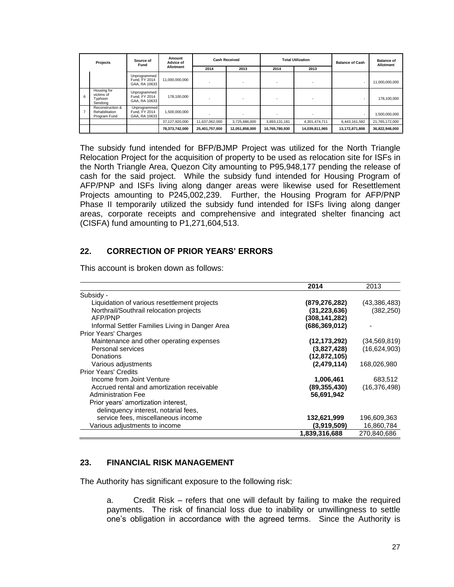|                | Source of<br>Projects<br>Fund                      |                                                | Amount<br>Advice of | <b>Cash Received</b> |                | <b>Total Utilization</b> |                | <b>Balance of Cash</b> | <b>Balance of</b><br>Allotment |
|----------------|----------------------------------------------------|------------------------------------------------|---------------------|----------------------|----------------|--------------------------|----------------|------------------------|--------------------------------|
|                |                                                    |                                                | Allotment           | 2014                 | 2013           | 2014                     | 2013           |                        |                                |
|                |                                                    | Unprogrammed<br>Fund, FY 2014<br>GAA, RA 10633 | 11,000,000,000      |                      |                |                          |                |                        | 11,000,000,000                 |
| 6              | Housing for<br>victims of<br>Typhoon<br>Sendona    | Unprogrammed<br>Fund, FY 2014<br>GAA, RA 10633 | 178,100,000         |                      |                |                          |                |                        | 178.100.000                    |
| $\overline{7}$ | Reconstruction &<br>Rehabilitation<br>Program Fund | Unprogrammed<br>Fund, FY 2014<br>GAA, RA 10633 | 1,500,000,000       |                      |                |                          |                |                        | 1,500,000,000                  |
|                |                                                    |                                                | 37,127,920,000      | 11,637,062,000       | 3.725.686.000  | 3.893.131.181            | 4,301,474,711  | 6,443,161,592          | 21.765.172.000                 |
|                |                                                    |                                                | 78,373,742,000      | 25,401,757,000       | 12,051,858,000 | 10,765,780,930           | 14,039,811,965 | 13,172,871,808         | 36,822,948,000                 |

The subsidy fund intended for BFP/BJMP Project was utilized for the North Triangle Relocation Project for the acquisition of property to be used as relocation site for ISFs in the North Triangle Area, Quezon City amounting to P95,948,177 pending the release of cash for the said project. While the subsidy fund intended for Housing Program of AFP/PNP and ISFs living along danger areas were likewise used for Resettlement Projects amounting to P245,002,239. Further, the Housing Program for AFP/PNP Phase II temporarily utilized the subsidy fund intended for ISFs living along danger areas, corporate receipts and comprehensive and integrated shelter financing act (CISFA) fund amounting to P1,271,604,513.

### **22. CORRECTION OF PRIOR YEARS' ERRORS**

|                                                 | 2014            | 2013           |
|-------------------------------------------------|-----------------|----------------|
| Subsidy -                                       |                 |                |
| Liquidation of various resettlement projects    | (879, 276, 282) | (43,386,483)   |
| Northrail/Southrail relocation projects         | (31, 223, 636)  | (382, 250)     |
| AFP/PNP                                         | (308,141,282)   |                |
| Informal Settler Families Living in Danger Area | (686, 369, 012) |                |
| <b>Prior Years' Charges</b>                     |                 |                |
| Maintenance and other operating expenses        | (12, 173, 292)  | (34, 569, 819) |
| Personal services                               | (3,827,428)     | (16,624,903)   |
| Donations                                       | (12, 872, 105)  |                |
| Various adjustments                             | (2,479,114)     | 168,026,980    |
| <b>Prior Years' Credits</b>                     |                 |                |
| Income from Joint Venture                       | 1,006,461       | 683,512        |
| Accrued rental and amortization receivable      | (89,355,430)    | (16, 376, 498) |
| <b>Administration Fee</b>                       | 56,691,942      |                |
| Prior years' amortization interest,             |                 |                |
| delinquency interest, notarial fees,            |                 |                |
| service fees, miscellaneous income              | 132,621,999     | 196,609,363    |
| Various adjustments to income                   | (3,919,509)     | 16,860,784     |
|                                                 | 1,839,316,688   | 270,840,686    |

This account is broken down as follows:

### **23. FINANCIAL RISK MANAGEMENT**

The Authority has significant exposure to the following risk:

a. Credit Risk – refers that one will default by failing to make the required payments. The risk of financial loss due to inability or unwillingness to settle one's obligation in accordance with the agreed terms. Since the Authority is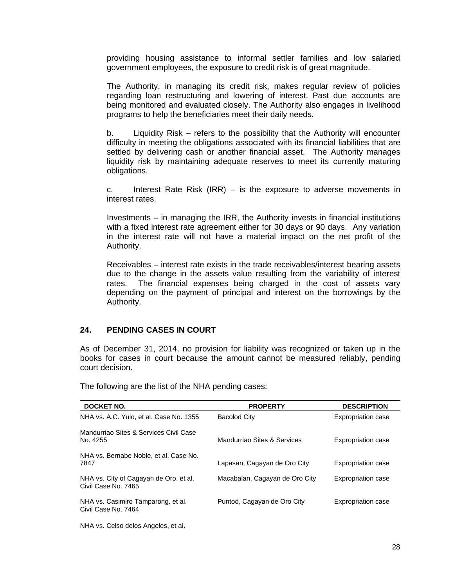providing housing assistance to informal settler families and low salaried government employees, the exposure to credit risk is of great magnitude.

The Authority, in managing its credit risk, makes regular review of policies regarding loan restructuring and lowering of interest. Past due accounts are being monitored and evaluated closely. The Authority also engages in livelihood programs to help the beneficiaries meet their daily needs.

b. Liquidity Risk – refers to the possibility that the Authority will encounter difficulty in meeting the obligations associated with its financial liabilities that are settled by delivering cash or another financial asset. The Authority manages liquidity risk by maintaining adequate reserves to meet its currently maturing obligations.

c. Interest Rate Risk (IRR) – is the exposure to adverse movements in interest rates.

Investments – in managing the IRR, the Authority invests in financial institutions with a fixed interest rate agreement either for 30 days or 90 days. Any variation in the interest rate will not have a material impact on the net profit of the Authority.

Receivables – interest rate exists in the trade receivables/interest bearing assets due to the change in the assets value resulting from the variability of interest rates. The financial expenses being charged in the cost of assets vary depending on the payment of principal and interest on the borrowings by the Authority.

### **24. PENDING CASES IN COURT**

As of December 31, 2014, no provision for liability was recognized or taken up in the books for cases in court because the amount cannot be measured reliably, pending court decision.

| <b>DOCKET NO.</b>                                             | <b>PROPERTY</b>                | <b>DESCRIPTION</b>        |
|---------------------------------------------------------------|--------------------------------|---------------------------|
| NHA vs. A.C. Yulo, et al. Case No. 1355                       | <b>Bacolod City</b>            | <b>Expropriation case</b> |
| Mandurriao Sites & Services Civil Case<br>No. 4255            | Mandurriao Sites & Services    | <b>Expropriation case</b> |
| NHA vs. Bernabe Noble, et al. Case No.<br>7847                | Lapasan, Cagayan de Oro City   | <b>Expropriation case</b> |
| NHA vs. City of Cagayan de Oro, et al.<br>Civil Case No. 7465 | Macabalan, Cagayan de Oro City | <b>Expropriation case</b> |
| NHA vs. Casimiro Tamparong, et al.<br>Civil Case No. 7464     | Puntod, Cagayan de Oro City    | <b>Expropriation case</b> |
|                                                               |                                |                           |

The following are the list of the NHA pending cases:

NHA vs. Celso delos Angeles, et al.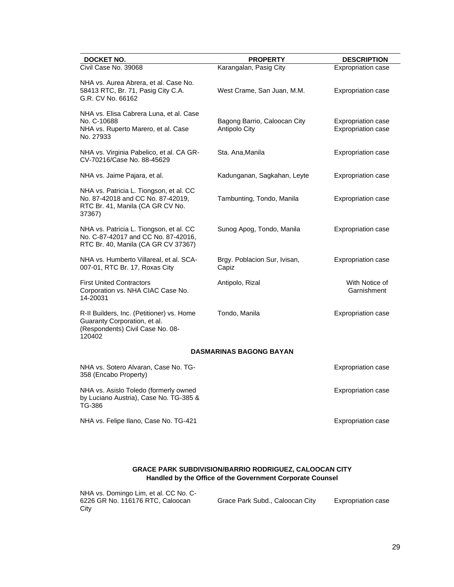| DOCKET NO.                                                                                                                 | <b>PROPERTY</b>                               | <b>DESCRIPTION</b>                                     |
|----------------------------------------------------------------------------------------------------------------------------|-----------------------------------------------|--------------------------------------------------------|
| Civil Case No. 39068                                                                                                       | Karangalan, Pasig City                        | <b>Expropriation case</b>                              |
| NHA vs. Aurea Abrera, et al. Case No.<br>58413 RTC, Br. 71, Pasig City C.A.<br>G.R. CV No. 66162                           | West Crame, San Juan, M.M.                    | Expropriation case                                     |
| NHA vs. Elisa Cabrera Luna, et al. Case<br>No. C-10688<br>NHA vs. Ruperto Marero, et al. Case<br>No. 27933                 | Bagong Barrio, Caloocan City<br>Antipolo City | <b>Expropriation case</b><br><b>Expropriation case</b> |
| NHA vs. Virginia Pabelico, et al. CA GR-<br>CV-70216/Case No. 88-45629                                                     | Sta. Ana, Manila                              | <b>Expropriation case</b>                              |
| NHA vs. Jaime Pajara, et al.                                                                                               | Kadunganan, Sagkahan, Leyte                   | <b>Expropriation case</b>                              |
| NHA vs. Patricia L. Tiongson, et al. CC<br>No. 87-42018 and CC No. 87-42019,<br>RTC Br. 41, Manila (CA GR CV No.<br>37367) | Tambunting, Tondo, Manila                     | <b>Expropriation case</b>                              |
| NHA vs. Patricia L. Tiongson, et al. CC<br>No. C-87-42017 and CC No. 87-42016,<br>RTC Br. 40, Manila (CA GR CV 37367)      | Sunog Apog, Tondo, Manila                     | <b>Expropriation case</b>                              |
| NHA vs. Humberto Villareal, et al. SCA-<br>007-01, RTC Br. 17, Roxas City                                                  | Brgy. Poblacion Sur, Ivisan,<br>Capiz         | Expropriation case                                     |
| <b>First United Contractors</b><br>Corporation vs. NHA CIAC Case No.<br>14-20031                                           | Antipolo, Rizal                               | With Notice of<br>Garnishment                          |
| R-II Builders, Inc. (Petitioner) vs. Home<br>Guaranty Corporation, et al.<br>(Respondents) Civil Case No. 08-<br>120402    | Tondo, Manila                                 | Expropriation case                                     |
|                                                                                                                            | <b>DASMARINAS BAGONG BAYAN</b>                |                                                        |
| NHA vs. Sotero Alvaran, Case No. TG-<br>358 (Encabo Property)                                                              |                                               | <b>Expropriation case</b>                              |
| NHA vs. Asislo Toledo (formerly owned<br>by Luciano Austria), Case No. TG-385 &<br>TG-386                                  |                                               | Expropriation case                                     |
| NHA vs. Felipe Ilano, Case No. TG-421                                                                                      |                                               | <b>Expropriation case</b>                              |

#### **GRACE PARK SUBDIVISION/BARRIO RODRIGUEZ, CALOOCAN CITY Handled by the Office of the Government Corporate Counsel**

| NHA vs. Domingo Lim, et al. CC No. C- |                                 |                           |
|---------------------------------------|---------------------------------|---------------------------|
| 6226 GR No. 116176 RTC, Caloocan      | Grace Park Subd., Caloocan City | <b>Expropriation case</b> |
| City                                  |                                 |                           |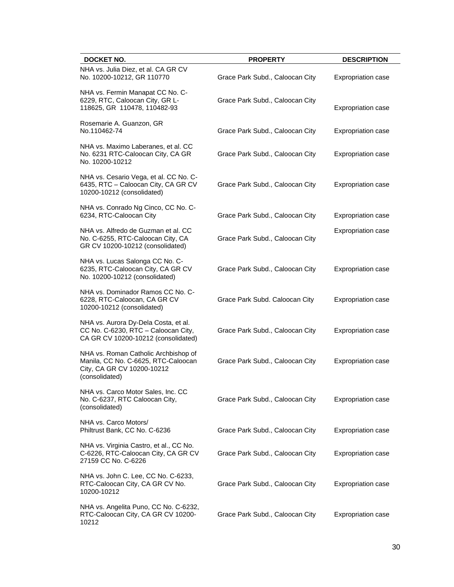| <b>DOCKET NO.</b>                                                                                                           | <b>PROPERTY</b>                 | <b>DESCRIPTION</b>        |
|-----------------------------------------------------------------------------------------------------------------------------|---------------------------------|---------------------------|
| NHA vs. Julia Diez, et al. CA GR CV<br>No. 10200-10212, GR 110770                                                           | Grace Park Subd., Caloocan City | Expropriation case        |
| NHA vs. Fermin Manapat CC No. C-<br>6229, RTC, Caloocan City, GR L-<br>118625, GR 110478, 110482-93                         | Grace Park Subd., Caloocan City | Expropriation case        |
| Rosemarie A. Guanzon, GR<br>No.110462-74                                                                                    | Grace Park Subd., Caloocan City | <b>Expropriation case</b> |
| NHA vs. Maximo Laberanes, et al. CC<br>No. 6231 RTC-Caloocan City, CA GR<br>No. 10200-10212                                 | Grace Park Subd., Caloocan City | <b>Expropriation case</b> |
| NHA vs. Cesario Vega, et al. CC No. C-<br>6435, RTC - Caloocan City, CA GR CV<br>10200-10212 (consolidated)                 | Grace Park Subd., Caloocan City | <b>Expropriation case</b> |
| NHA vs. Conrado Ng Cinco, CC No. C-<br>6234, RTC-Caloocan City                                                              | Grace Park Subd., Caloocan City | <b>Expropriation case</b> |
| NHA vs. Alfredo de Guzman et al. CC<br>No. C-6255, RTC-Caloocan City, CA<br>GR CV 10200-10212 (consolidated)                | Grace Park Subd., Caloocan City | <b>Expropriation case</b> |
| NHA vs. Lucas Salonga CC No. C-<br>6235, RTC-Caloocan City, CA GR CV<br>No. 10200-10212 (consolidated)                      | Grace Park Subd., Caloocan City | Expropriation case        |
| NHA vs. Dominador Ramos CC No. C-<br>6228, RTC-Caloocan, CA GR CV<br>10200-10212 (consolidated)                             | Grace Park Subd. Caloocan City  | <b>Expropriation case</b> |
| NHA vs. Aurora Dy-Dela Costa, et al.<br>CC No. C-6230, RTC - Caloocan City,<br>CA GR CV 10200-10212 (consolidated)          | Grace Park Subd., Caloocan City | Expropriation case        |
| NHA vs. Roman Catholic Archbishop of<br>Manila, CC No. C-6625, RTC-Caloocan<br>City, CA GR CV 10200-10212<br>(consolidated) | Grace Park Subd., Caloocan City | Expropriation case        |
| NHA vs. Carco Motor Sales, Inc. CC<br>No. C-6237, RTC Caloocan City,<br>(consolidated)                                      | Grace Park Subd., Caloocan City | Expropriation case        |
| NHA vs. Carco Motors/<br>Philtrust Bank, CC No. C-6236                                                                      | Grace Park Subd., Caloocan City | <b>Expropriation case</b> |
| NHA vs. Virginia Castro, et al., CC No.<br>C-6226, RTC-Caloocan City, CA GR CV<br>27159 CC No. C-6226                       | Grace Park Subd., Caloocan City | <b>Expropriation case</b> |
| NHA vs. John C. Lee, CC No. C-6233,<br>RTC-Caloocan City, CA GR CV No.<br>10200-10212                                       | Grace Park Subd., Caloocan City | <b>Expropriation case</b> |
| NHA vs. Angelita Puno, CC No. C-6232,<br>RTC-Caloocan City, CA GR CV 10200-<br>10212                                        | Grace Park Subd., Caloocan City | Expropriation case        |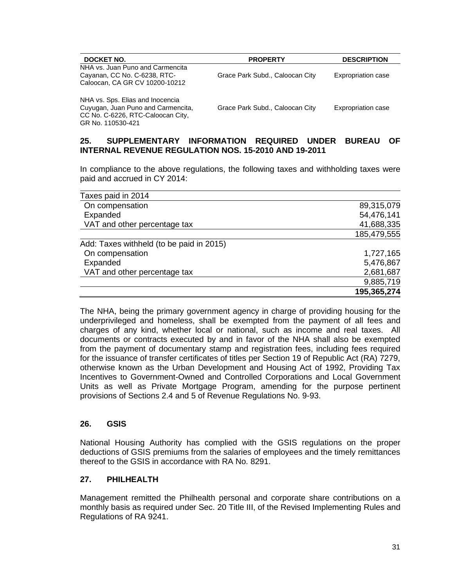| DOCKET NO.                                                                                                                       | <b>PROPERTY</b>                 | <b>DESCRIPTION</b>        |
|----------------------------------------------------------------------------------------------------------------------------------|---------------------------------|---------------------------|
| NHA vs. Juan Puno and Carmencita<br>Cayanan, CC No. C-6238, RTC-<br>Caloocan, CA GR CV 10200-10212                               | Grace Park Subd., Caloocan City | <b>Expropriation case</b> |
| NHA vs. Sps. Elias and Inocencia<br>Cuyugan, Juan Puno and Carmencita,<br>CC No. C-6226, RTC-Caloocan City,<br>GR No. 110530-421 | Grace Park Subd., Caloocan City | <b>Expropriation case</b> |

### **25. SUPPLEMENTARY INFORMATION REQUIRED UNDER BUREAU OF INTERNAL REVENUE REGULATION NOS. 15-2010 AND 19-2011**

In compliance to the above regulations, the following taxes and withholding taxes were paid and accrued in CY 2014:

| Taxes paid in 2014                       |             |
|------------------------------------------|-------------|
| On compensation                          | 89,315,079  |
| Expanded                                 | 54,476,141  |
| VAT and other percentage tax             | 41,688,335  |
|                                          | 185,479,555 |
| Add: Taxes withheld (to be paid in 2015) |             |
| On compensation                          | 1,727,165   |
| Expanded                                 | 5,476,867   |
| VAT and other percentage tax             | 2,681,687   |
|                                          | 9,885,719   |
|                                          | 195,365,274 |

The NHA, being the primary government agency in charge of providing housing for the underprivileged and homeless, shall be exempted from the payment of all fees and charges of any kind, whether local or national, such as income and real taxes. All documents or contracts executed by and in favor of the NHA shall also be exempted from the payment of documentary stamp and registration fees, including fees required for the issuance of transfer certificates of titles per Section 19 of Republic Act (RA) 7279, otherwise known as the Urban Development and Housing Act of 1992, Providing Tax Incentives to Government-Owned and Controlled Corporations and Local Government Units as well as Private Mortgage Program, amending for the purpose pertinent provisions of Sections 2.4 and 5 of Revenue Regulations No. 9-93.

### **26. GSIS**

National Housing Authority has complied with the GSIS regulations on the proper deductions of GSIS premiums from the salaries of employees and the timely remittances thereof to the GSIS in accordance with RA No. 8291.

### **27. PHILHEALTH**

Management remitted the Philhealth personal and corporate share contributions on a monthly basis as required under Sec. 20 Title III, of the Revised Implementing Rules and Regulations of RA 9241.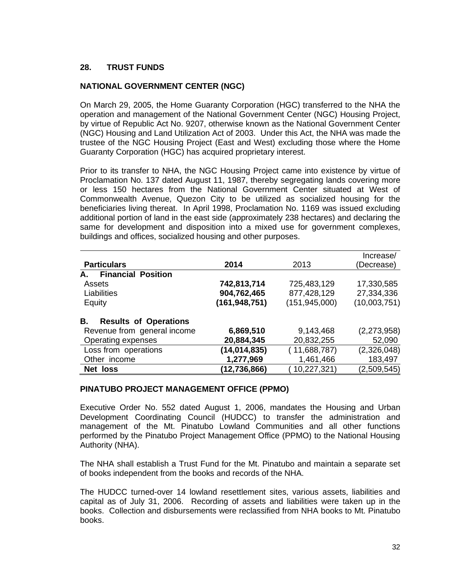## **28. TRUST FUNDS**

## **NATIONAL GOVERNMENT CENTER (NGC)**

On March 29, 2005, the Home Guaranty Corporation (HGC) transferred to the NHA the operation and management of the National Government Center (NGC) Housing Project, by virtue of Republic Act No. 9207, otherwise known as the National Government Center (NGC) Housing and Land Utilization Act of 2003. Under this Act, the NHA was made the trustee of the NGC Housing Project (East and West) excluding those where the Home Guaranty Corporation (HGC) has acquired proprietary interest.

Prior to its transfer to NHA, the NGC Housing Project came into existence by virtue of Proclamation No. 137 dated August 11, 1987, thereby segregating lands covering more or less 150 hectares from the National Government Center situated at West of Commonwealth Avenue, Quezon City to be utilized as socialized housing for the beneficiaries living thereat. In April 1998, Proclamation No. 1169 was issued excluding additional portion of land in the east side (approximately 238 hectares) and declaring the same for development and disposition into a mixed use for government complexes, buildings and offices, socialized housing and other purposes.

|                                    |               |                 | Increase/     |
|------------------------------------|---------------|-----------------|---------------|
| <b>Particulars</b>                 | 2014          | 2013            | (Decrease)    |
| <b>Financial Position</b><br>А.    |               |                 |               |
| Assets                             | 742,813,714   | 725,483,129     | 17,330,585    |
| Liabilities                        | 904,762,465   | 877,428,129     | 27,334,336    |
| Equity                             | (161,948,751) | (151, 945, 000) | (10,003,751)  |
| <b>Results of Operations</b><br>В. |               |                 |               |
| Revenue from general income        | 6,869,510     | 9,143,468       | (2, 273, 958) |
| <b>Operating expenses</b>          | 20,884,345    | 20,832,255      | 52,090        |
| Loss from operations               | (14,014,835)  | (11,688,787)    | (2,326,048)   |
| Other income                       | 1,277,969     | 1,461,466       | 183,497       |
| Net loss                           | (12,736,866)  | 10,227,321)     | (2,509,545)   |

#### **PINATUBO PROJECT MANAGEMENT OFFICE (PPMO)**

Executive Order No. 552 dated August 1, 2006, mandates the Housing and Urban Development Coordinating Council (HUDCC) to transfer the administration and management of the Mt. Pinatubo Lowland Communities and all other functions performed by the Pinatubo Project Management Office (PPMO) to the National Housing Authority (NHA).

The NHA shall establish a Trust Fund for the Mt. Pinatubo and maintain a separate set of books independent from the books and records of the NHA.

The HUDCC turned-over 14 lowland resettlement sites, various assets, liabilities and capital as of July 31, 2006. Recording of assets and liabilities were taken up in the books. Collection and disbursements were reclassified from NHA books to Mt. Pinatubo books.